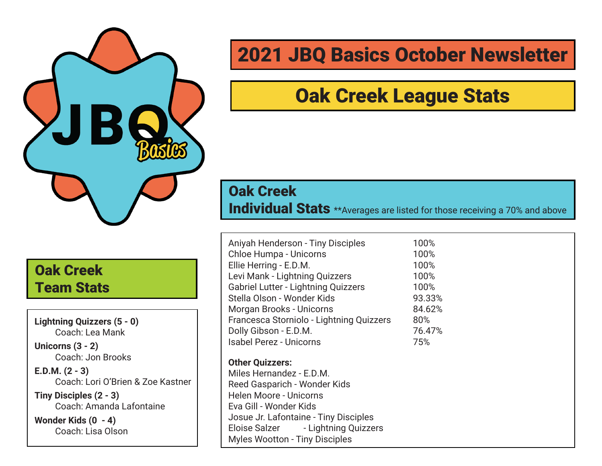

Oak Creek Team Stats

**Lightning Quizzers (5 - 0)** Coach: Lea Mank

**Unicorns (3 - 2)** Coach: Jon Brooks

**E.D.M. (2 - 3)** Coach: Lori O'Brien & Zoe Kastner

**Tiny Disciples (2 - 3)** Coach: Amanda Lafontaine

**Wonder Kids (0 - 4)** Coach: Lisa Olson

### 2021 JBQ Basics October Newsletter

### Oak Creek League Stats

#### Oak Creek

Individual Stats \*\*Averages are listed for those receiving a 70% and above

| Aniyah Henderson - Tiny Disciples          | 100%   |
|--------------------------------------------|--------|
| <b>Chloe Humpa - Unicorns</b>              | 100%   |
| Ellie Herring - E.D.M.                     | 100%   |
| Levi Mank - Lightning Quizzers             | 100%   |
| <b>Gabriel Lutter - Lightning Quizzers</b> | 100%   |
| Stella Olson - Wonder Kids                 | 93.33% |
| Morgan Brooks - Unicorns                   | 84.62% |
| Francesca Storniolo - Lightning Quizzers   | 80%    |
| Dolly Gibson - E.D.M.                      | 76.47% |
| <b>Isabel Perez - Unicorns</b>             | 75%    |
| <b>Other Quizzers:</b>                     |        |
| Miles Hernandez - E.D.M.                   |        |
| Reed Gasparich - Wonder Kids               |        |
| Helen Moore - Unicorns                     |        |
| Eva Gill - Wonder Kids                     |        |
| Josue Jr. Lafontaine - Tiny Disciples      |        |
| Eloise Salzer - Lightning Quizzers         |        |
| <b>Myles Wootton - Tiny Disciples</b>      |        |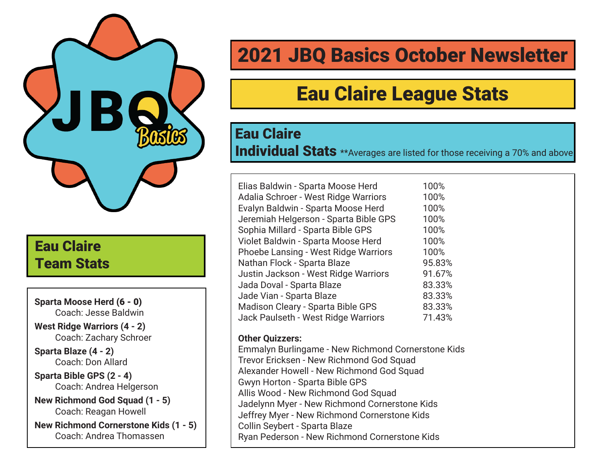

### Eau Claire Team Stats

**Sparta Moose Herd** (6 - 0) Coach: Jesse Baldwin

**West Ridge Warriors (4 - 2)** Coach: Zachary Schroer

**Sparta Blaze (4 - 2)** Coach: Don Allard

**Sparta Bible GPS (2 - 4)** Coach: Andrea Helgerson

**New Richmond God Squad (1 - 5)** Coach: Reagan Howell

**New Richmond Cornerstone Kids (1 - 5)** Coach: Andrea Thomassen

# 2021 JBQ Basics October Newsletter

# Eau Claire League Stats

#### Eau Claire

Individual Stats \*\*Averages are listed for those receiving a 70% and above

| Elias Baldwin - Sparta Moose Herd           | 100%   |
|---------------------------------------------|--------|
| Adalia Schroer - West Ridge Warriors        | 100%   |
| Evalyn Baldwin - Sparta Moose Herd          | 100%   |
| Jeremiah Helgerson - Sparta Bible GPS       | 100%   |
| Sophia Millard - Sparta Bible GPS           | 100%   |
| Violet Baldwin - Sparta Moose Herd          | 100%   |
| <b>Phoebe Lansing - West Ridge Warriors</b> | 100%   |
| Nathan Flock - Sparta Blaze                 | 95.83% |
| Justin Jackson - West Ridge Warriors        | 91.67% |
| Jada Doval - Sparta Blaze                   | 83.33% |
| Jade Vian - Sparta Blaze                    | 83.33% |
| Madison Cleary - Sparta Bible GPS           | 83.33% |
| Jack Paulseth - West Ridge Warriors         | 71.43% |

#### **Other Quizzers:**

Emmalyn Burlingame - New Richmond Cornerstone Kids Trevor Ericksen - New Richmond God Squad Alexander Howell - New Richmond God Squad Gwyn Horton - Sparta Bible GPS Allis Wood - New Richmond God Squad Jadelynn Myer - New Richmond Cornerstone Kids Jeffrey Myer - New Richmond Cornerstone Kids Collin Seybert - Sparta Blaze Ryan Pederson - New Richmond Cornerstone Kids